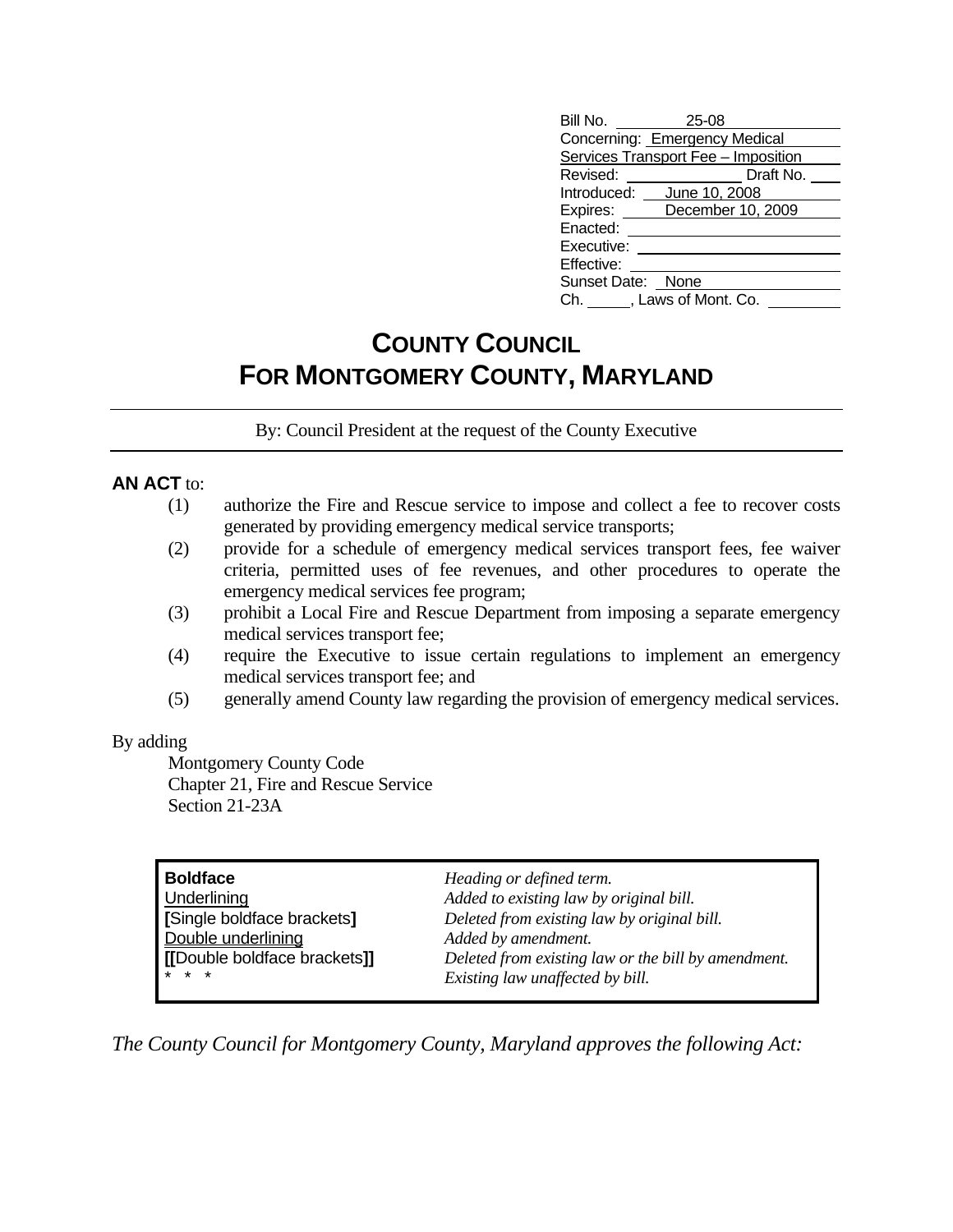| 25-08                               |
|-------------------------------------|
| Concerning: Emergency Medical       |
| Services Transport Fee - Imposition |
| Draft No.                           |
| June 10, 2008                       |
| December 10, 2009                   |
|                                     |
|                                     |
|                                     |
| Sunset Date: None                   |
| Ch. , Laws of Mont. Co.             |
|                                     |

## **COUNTY COUNCIL FOR MONTGOMERY COUNTY, MARYLAND**

By: Council President at the request of the County Executive

## **AN ACT** to:

- (1) authorize the Fire and Rescue service to impose and collect a fee to recover costs generated by providing emergency medical service transports;
- (2) provide for a schedule of emergency medical services transport fees, fee waiver criteria, permitted uses of fee revenues, and other procedures to operate the emergency medical services fee program;
- (3) prohibit a Local Fire and Rescue Department from imposing a separate emergency medical services transport fee;
- (4) require the Executive to issue certain regulations to implement an emergency medical services transport fee; and
- (5) generally amend County law regarding the provision of emergency medical services.

## By adding

 Montgomery County Code Chapter 21, Fire and Rescue Service Section 21-23A

| $* * *$<br>Existing law unaffected by bill. | <b>Boldface</b><br>Underlining<br>[Single boldface brackets]<br>Double underlining<br>[[Double boldface brackets]] | Heading or defined term.<br>Added to existing law by original bill.<br>Deleted from existing law by original bill.<br>Added by amendment.<br>Deleted from existing law or the bill by amendment. |
|---------------------------------------------|--------------------------------------------------------------------------------------------------------------------|--------------------------------------------------------------------------------------------------------------------------------------------------------------------------------------------------|
|---------------------------------------------|--------------------------------------------------------------------------------------------------------------------|--------------------------------------------------------------------------------------------------------------------------------------------------------------------------------------------------|

*The County Council for Montgomery County, Maryland approves the following Act:*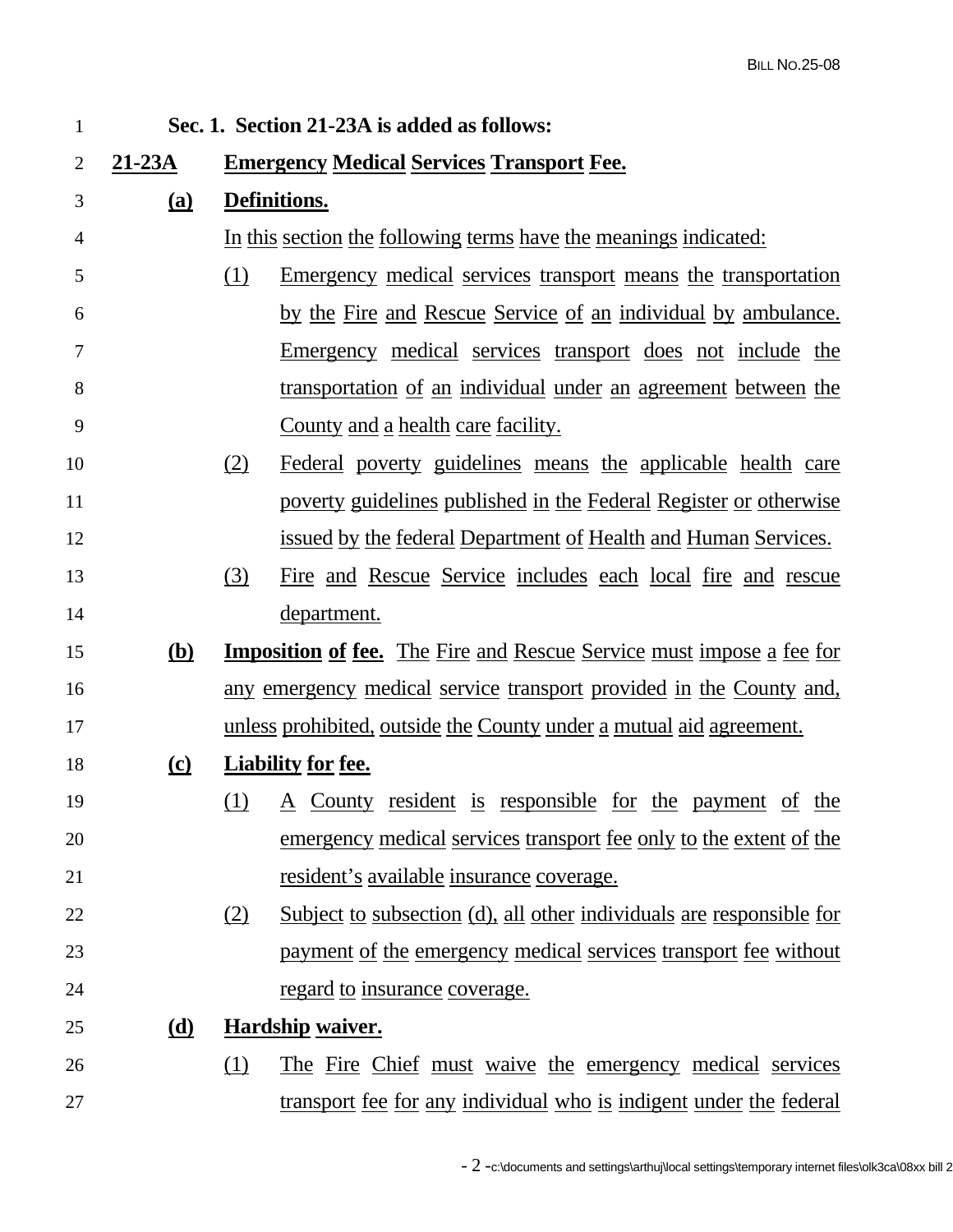| $\mathbf{1}$   | Sec. 1. Section 21-23A is added as follows: |                                                                                    |  |  |  |
|----------------|---------------------------------------------|------------------------------------------------------------------------------------|--|--|--|
| $\overline{2}$ | $21-23A$                                    | <b>Emergency Medical Services Transport Fee.</b>                                   |  |  |  |
| 3              | <u>(a)</u>                                  | Definitions.                                                                       |  |  |  |
| 4              |                                             | In this section the following terms have the meanings indicated:                   |  |  |  |
| 5              |                                             | (1)<br><u>Emergency medical services transport means the transportation</u>        |  |  |  |
| 6              |                                             | <u>by the Fire and Rescue Service of an individual by ambulance.</u>               |  |  |  |
| 7              |                                             | Emergency medical services transport does not include the                          |  |  |  |
| 8              |                                             | <u>transportation of an individual under an agreement between the</u>              |  |  |  |
| 9              |                                             | <u>County and a health care facility.</u>                                          |  |  |  |
| 10             |                                             | (2)<br>Federal poverty guidelines means the applicable health care                 |  |  |  |
| 11             |                                             | poverty guidelines published in the Federal Register or otherwise                  |  |  |  |
| 12             |                                             | <u>issued by the federal Department of Health and Human Services.</u>              |  |  |  |
| 13             |                                             | <u>(3)</u><br><u>Fire and Rescue Service includes each local fire and rescue</u>   |  |  |  |
| 14             |                                             | department.                                                                        |  |  |  |
| 15             | <u>(b)</u>                                  | <b>Imposition of fee.</b> The Fire and Rescue Service must impose a fee for        |  |  |  |
| 16             |                                             | any emergency medical service transport provided in the County and,                |  |  |  |
| 17             |                                             | unless prohibited, outside the County under a mutual aid agreement.                |  |  |  |
| 18             | $\Omega$                                    | <b>Liability for fee.</b>                                                          |  |  |  |
| 19             |                                             | (1) A County resident is responsible for the payment of the                        |  |  |  |
| 20             |                                             | emergency medical services transport fee only to the extent of the                 |  |  |  |
| 21             |                                             | resident's available insurance coverage.                                           |  |  |  |
| 22             |                                             | <u>Subject to subsection (d), all other individuals are responsible for</u><br>(2) |  |  |  |
| 23             |                                             | payment of the emergency medical services transport fee without                    |  |  |  |
| 24             |                                             | <u>regard to insurance coverage.</u>                                               |  |  |  |
| 25             | <u>(d)</u>                                  | <b>Hardship waiver.</b>                                                            |  |  |  |
| 26             |                                             | The Fire Chief must waive the emergency medical services<br>(1)                    |  |  |  |
| 27             |                                             | transport fee for any individual who is indigent under the federal                 |  |  |  |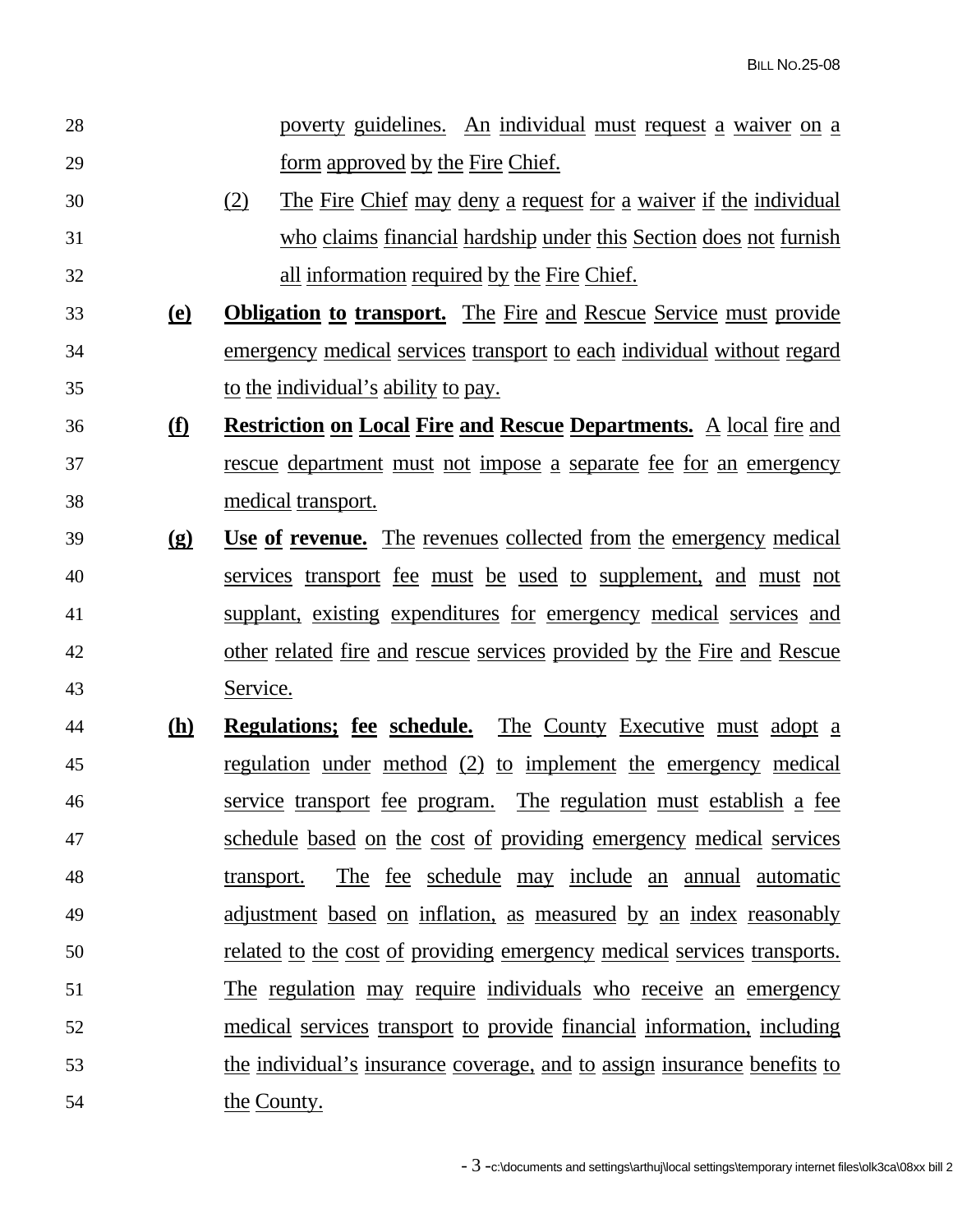28 poverty guidelines. An individual must request a waiver on a 29 form approved by the Fire Chief. 30 (2) The Fire Chief may deny a request for a waiver if the individual 31 who claims financial hardship under this Section does not furnish 32 all information required by the Fire Chief. 33 **(e) Obligation to transport.**The Fire and Rescue Service must provide 34 emergency medical services transport to each individual without regard 35 to the individual's ability to pay. 36 **(f) Restriction on Local Fire and Rescue Departments.**A local fire and 37 rescue department must not impose a separate fee for an emergency 38 medical transport. 39 **(g) Use of revenue.**The revenues collected from the emergency medical 40 services transport fee must be used to supplement, and must not 41 supplant, existing expenditures for emergency medical services and 42 other related fire and rescue services provided by the Fire and Rescue 43 Service. 44 **(h) Regulations; fee schedule.**The County Executive must adopt a 45 regulation under method (2) to implement the emergency medical 46 service transport fee program. The regulation must establish a fee 47 schedule based on the cost of providing emergency medical services 48 transport. The fee schedule may include an annual automatic 49 adjustment based on inflation, as measured by an index reasonably 50 related to the cost of providing emergency medical services transports. 51 The regulation may require individuals who receive an emergency 52 medical services transport to provide financial information, including 53 the individual's insurance coverage, and to assign insurance benefits to 54 the County.